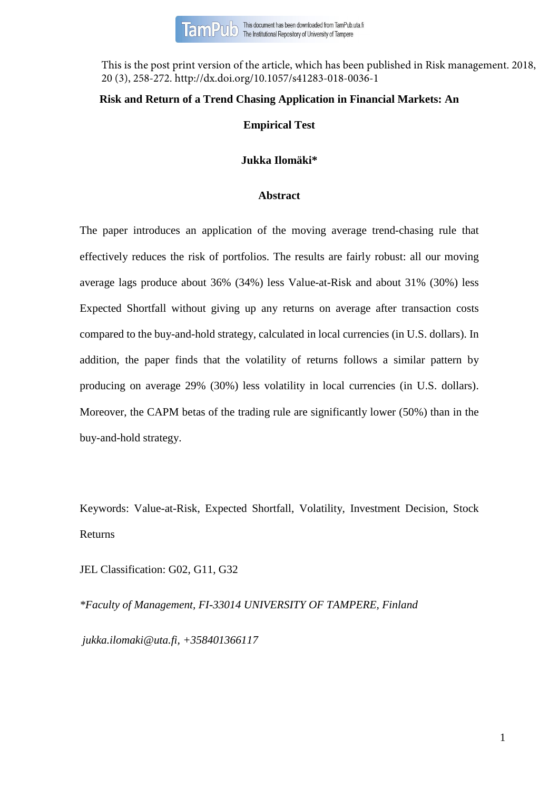This is the post print version of the article, which has been published in Risk management. 2018, 20 (3), 258-272. http://dx.doi.org/10.1057/s41283-018-0036-1

# **Risk and Return of a Trend Chasing Application in Financial Markets: An**

# **Empirical Test**

# **Jukka Ilomäki\***

# **Abstract**

The paper introduces an application of the moving average trend-chasing rule that effectively reduces the risk of portfolios. The results are fairly robust: all our moving average lags produce about 36% (34%) less Value-at-Risk and about 31% (30%) less Expected Shortfall without giving up any returns on average after transaction costs compared to the buy-and-hold strategy, calculated in local currencies (in U.S. dollars). In addition, the paper finds that the volatility of returns follows a similar pattern by producing on average 29% (30%) less volatility in local currencies (in U.S. dollars). Moreover, the CAPM betas of the trading rule are significantly lower (50%) than in the buy-and-hold strategy.

Keywords: Value-at-Risk, Expected Shortfall, Volatility, Investment Decision, Stock Returns

JEL Classification: G02, G11, G32

*\*Faculty of Management, FI-33014 UNIVERSITY OF TAMPERE, Finland [jukka.ilomaki@uta.fi,](mailto:jukka.ilomaki@uta.fi) +358401366117*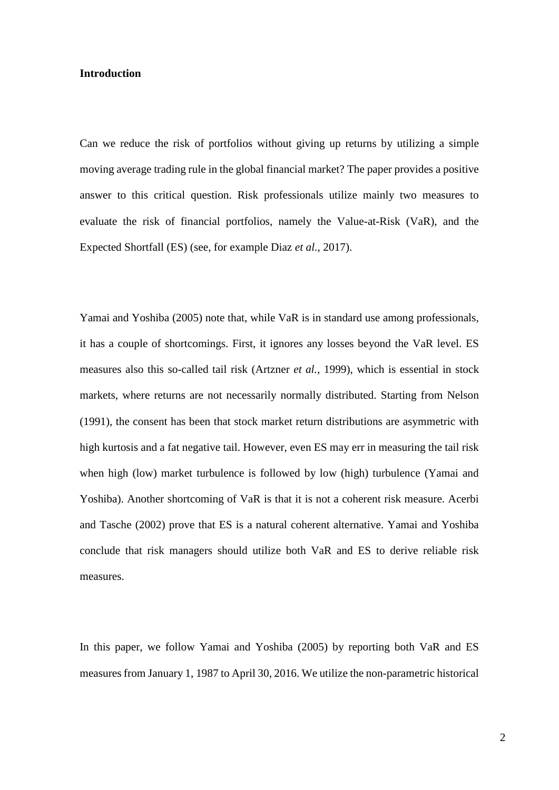## **Introduction**

Can we reduce the risk of portfolios without giving up returns by utilizing a simple moving average trading rule in the global financial market? The paper provides a positive answer to this critical question. Risk professionals utilize mainly two measures to evaluate the risk of financial portfolios, namely the Value-at-Risk (VaR), and the Expected Shortfall (ES) (see, for example Diaz *et al.,* 2017).

Yamai and Yoshiba (2005) note that, while VaR is in standard use among professionals, it has a couple of shortcomings. First, it ignores any losses beyond the VaR level. ES measures also this so-called tail risk (Artzner *et al.,* 1999), which is essential in stock markets, where returns are not necessarily normally distributed. Starting from Nelson (1991), the consent has been that stock market return distributions are asymmetric with high kurtosis and a fat negative tail. However, even ES may err in measuring the tail risk when high (low) market turbulence is followed by low (high) turbulence (Yamai and Yoshiba). Another shortcoming of VaR is that it is not a coherent risk measure. Acerbi and Tasche (2002) prove that ES is a natural coherent alternative. Yamai and Yoshiba conclude that risk managers should utilize both VaR and ES to derive reliable risk measures.

In this paper, we follow Yamai and Yoshiba (2005) by reporting both VaR and ES measures from January 1, 1987 to April 30, 2016. We utilize the non-parametric historical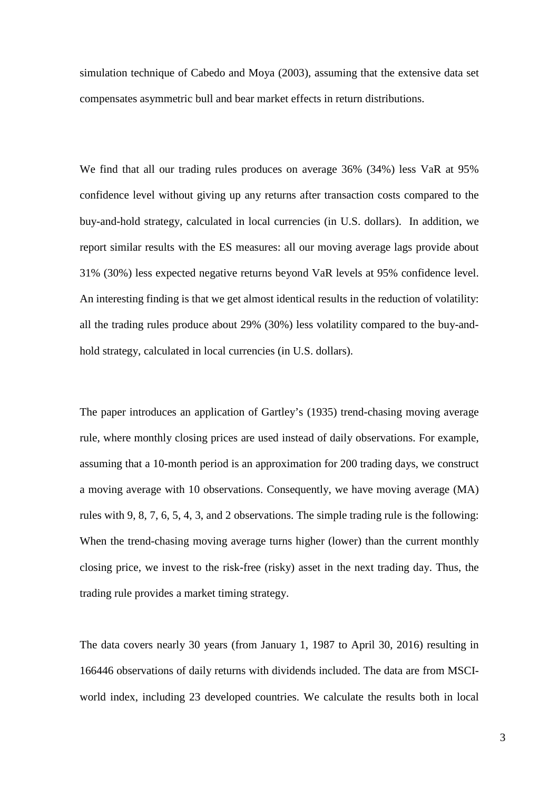simulation technique of Cabedo and Moya (2003), assuming that the extensive data set compensates asymmetric bull and bear market effects in return distributions.

We find that all our trading rules produces on average 36% (34%) less VaR at 95% confidence level without giving up any returns after transaction costs compared to the buy-and-hold strategy, calculated in local currencies (in U.S. dollars). In addition, we report similar results with the ES measures: all our moving average lags provide about 31% (30%) less expected negative returns beyond VaR levels at 95% confidence level. An interesting finding is that we get almost identical results in the reduction of volatility: all the trading rules produce about 29% (30%) less volatility compared to the buy-andhold strategy, calculated in local currencies (in U.S. dollars).

The paper introduces an application of Gartley's (1935) trend-chasing moving average rule, where monthly closing prices are used instead of daily observations. For example, assuming that a 10-month period is an approximation for 200 trading days, we construct a moving average with 10 observations. Consequently, we have moving average (MA) rules with 9, 8, 7, 6, 5, 4, 3, and 2 observations. The simple trading rule is the following: When the trend-chasing moving average turns higher (lower) than the current monthly closing price, we invest to the risk-free (risky) asset in the next trading day. Thus, the trading rule provides a market timing strategy.

The data covers nearly 30 years (from January 1, 1987 to April 30, 2016) resulting in 166446 observations of daily returns with dividends included. The data are from MSCIworld index, including 23 developed countries. We calculate the results both in local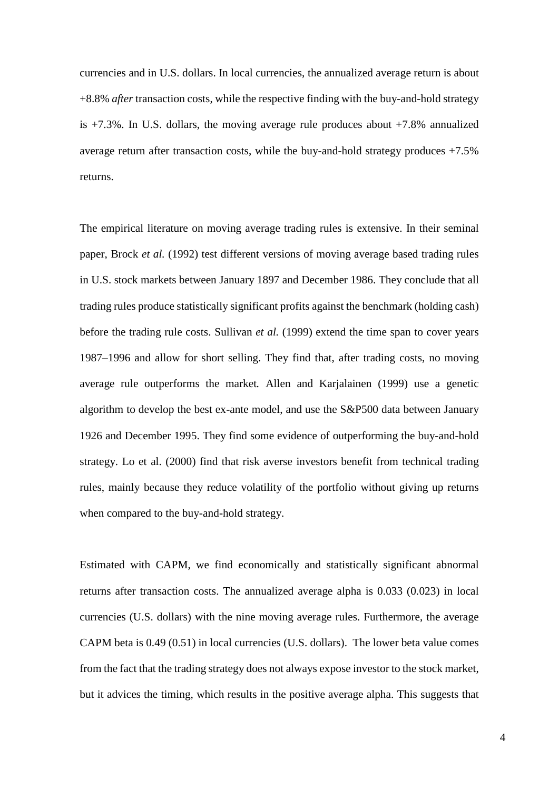currencies and in U.S. dollars. In local currencies, the annualized average return is about +8.8% *after* transaction costs, while the respective finding with the buy-and-hold strategy is +7.3%. In U.S. dollars, the moving average rule produces about +7.8% annualized average return after transaction costs, while the buy-and-hold strategy produces +7.5% returns.

The empirical literature on moving average trading rules is extensive. In their seminal paper, Brock *et al.* (1992) test different versions of moving average based trading rules in U.S. stock markets between January 1897 and December 1986. They conclude that all trading rules produce statistically significant profits against the benchmark (holding cash) before the trading rule costs. Sullivan *et al.* (1999) extend the time span to cover years 1987–1996 and allow for short selling. They find that, after trading costs, no moving average rule outperforms the market*.* Allen and Karjalainen (1999) use a genetic algorithm to develop the best ex-ante model, and use the S&P500 data between January 1926 and December 1995. They find some evidence of outperforming the buy-and-hold strategy. Lo et al. (2000) find that risk averse investors benefit from technical trading rules, mainly because they reduce volatility of the portfolio without giving up returns when compared to the buy-and-hold strategy.

<span id="page-3-2"></span><span id="page-3-1"></span><span id="page-3-0"></span>Estimated with CAPM, we find economically and statistically significant abnormal returns after transaction costs. The annualized average alpha is 0.033 (0.023) in local currencies (U.S. dollars) with the nine moving average rules. Furthermore, the average CAPM beta is 0.49 (0.51) in local currencies (U.S. dollars). The lower beta value comes from the fact that the trading strategy does not always expose investor to the stock market, but it advices the timing, which results in the positive average alpha. This suggests that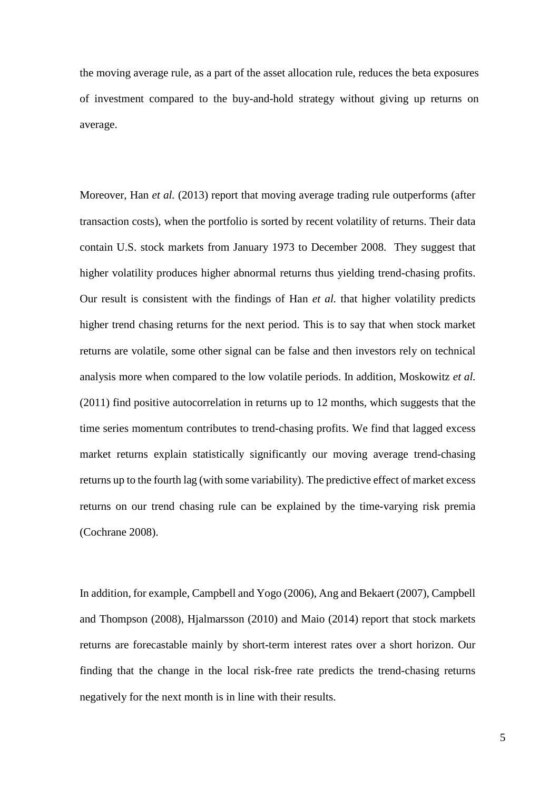the moving average rule, as a part of the asset allocation rule, reduces the beta exposures of investment compared to the buy-and-hold strategy without giving up returns on average.

Moreover, Han *et al.* (2013) report that moving average trading rule outperforms (after transaction costs), when the portfolio is sorted by recent volatility of returns. Their data contain U.S. stock markets from January 1973 to December 2008. They suggest that higher volatility produces higher abnormal returns thus yielding trend-chasing profits. Our result is consistent with the findings of Han *et al.* that higher volatility predicts higher trend chasing returns for the next period. This is to say that when stock market returns are volatile, some other signal can be false and then investors rely on technical analysis more when compared to the low volatile periods. In addition, Moskowitz *et al.* (2011) find positive autocorrelation in returns up to 12 months, which suggests that the time series momentum contributes to trend-chasing profits. We find that lagged excess market returns explain statistically significantly our moving average trend-chasing returns up to the fourth lag (with some variability). The predictive effect of market excess returns on our trend chasing rule can be explained by the time-varying risk premia (Cochrane 2008).

<span id="page-4-0"></span>In addition, for example, Campbell and Yogo (2006), Ang and Bekaert (2007), Campbell and Thompson (2008), Hjalmarsson (2010) and Maio (2014) report that stock markets returns are forecastable mainly by short-term interest rates over a short horizon. Our finding that the change in the local risk-free rate predicts the trend-chasing returns negatively for the next month is in line with their results.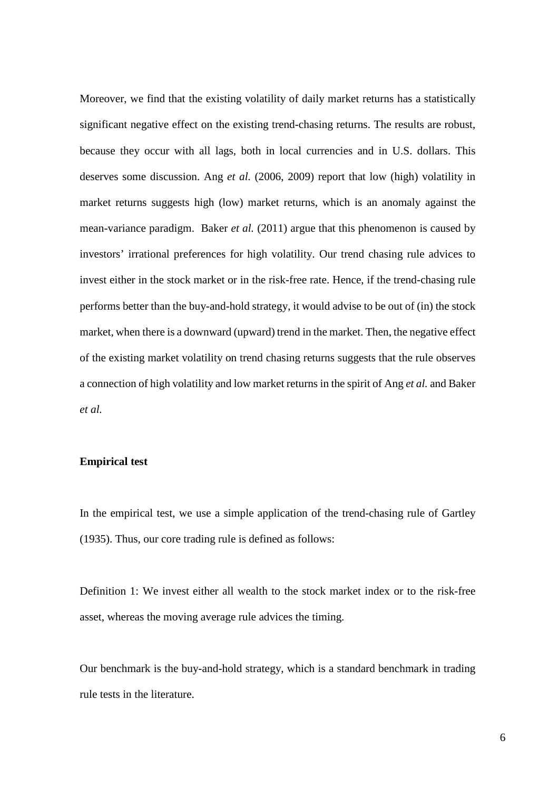Moreover, we find that the existing volatility of daily market returns has a statistically significant negative effect on the existing trend-chasing returns. The results are robust, because they occur with all lags, both in local currencies and in U.S. dollars. This deserves some discussion. Ang *et al.* (2006, 2009) report that low (high) volatility in market returns suggests high (low) market returns, which is an anomaly against the mean-variance paradigm. Baker *et al.* (2011) argue that this phenomenon is caused by investors' irrational preferences for high volatility. Our trend chasing rule advices to invest either in the stock market or in the risk-free rate. Hence, if the trend-chasing rule performs better than the buy-and-hold strategy, it would advise to be out of (in) the stock market, when there is a downward (upward) trend in the market. Then, the negative effect of the existing market volatility on trend chasing returns suggests that the rule observes a connection of high volatility and low market returns in the spirit of Ang *et al.* and Baker *et al.*

# **Empirical test**

In the empirical test, we use a simple application of the trend-chasing rule of Gartley (1935). Thus, our core trading rule is defined as follows:

Definition 1: We invest either all wealth to the stock market index or to the risk-free asset, whereas the moving average rule advices the timing.

Our benchmark is the buy-and-hold strategy, which is a standard benchmark in trading rule tests in the literature.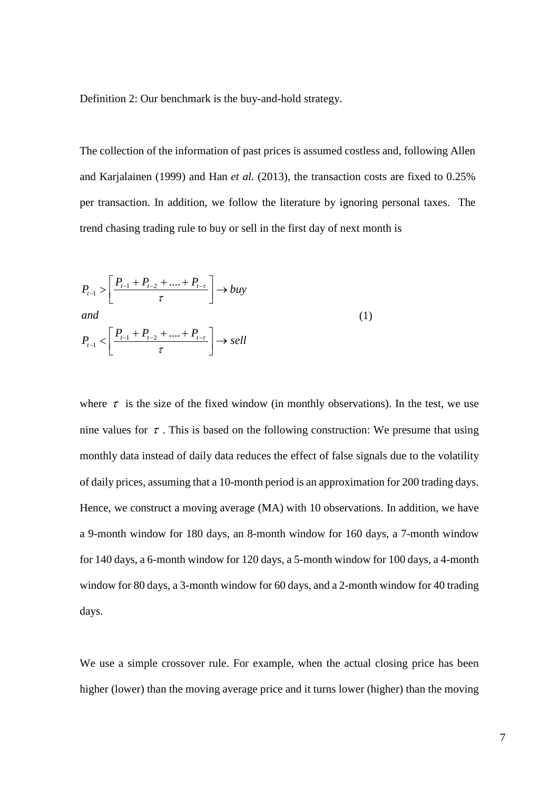Definition 2: Our benchmark is the buy-and-hold strategy.

The collection of the information of past prices is assumed costless and, following Allen and Karjalainen (1999) and Han *et al.* (2013), the transaction costs are fixed to 0.25% per transaction. In addition, we follow the literature by ignoring personal taxes. The trend chasing trading rule to buy or sell in the first day of next month is

$$
P_{t-1} > \left[ \frac{P_{t-1} + P_{t-2} + \dots + P_{t-\tau}}{\tau} \right] \to buy
$$
  
\nand  
\n
$$
P_{t-1} < \left[ \frac{P_{t-1} + P_{t-2} + \dots + P_{t-\tau}}{\tau} \right] \to sell
$$
\n(1)

where  $\tau$  is the size of the fixed window (in monthly observations). In the test, we use nine values for  $\tau$ . This is based on the following construction: We presume that using monthly data instead of daily data reduces the effect of false signals due to the volatility of daily prices, assuming that a 10-month period is an approximation for 200 trading days. Hence, we construct a moving average (MA) with 10 observations. In addition, we have a 9-month window for 180 days, an 8-month window for 160 days, a 7-month window for 140 days, a 6-month window for 120 days, a 5-month window for 100 days, a 4-month window for 80 days, a 3-month window for 60 days, and a 2-month window for 40 trading days.

We use a simple crossover rule. For example, when the actual closing price has been higher (lower) than the moving average price and it turns lower (higher) than the moving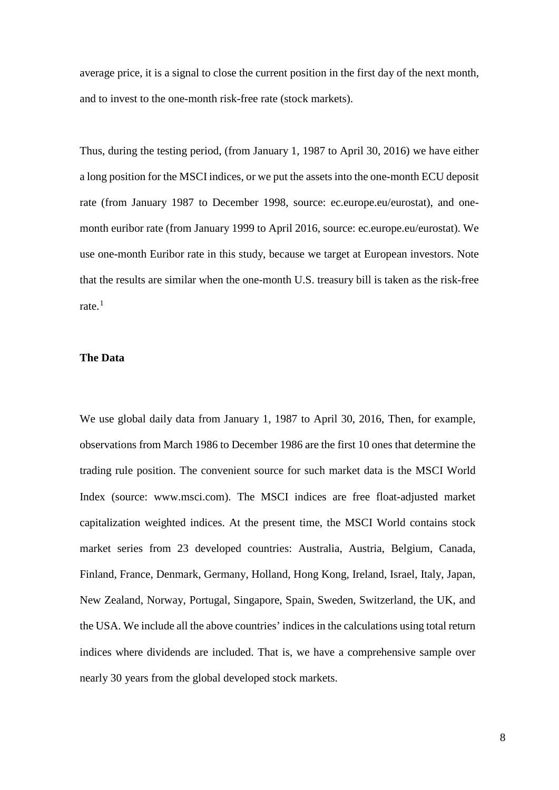average price, it is a signal to close the current position in the first day of the next month, and to invest to the one-month risk-free rate (stock markets).

Thus, during the testing period, (from January 1, 1987 to April 30, 2016) we have either a long position for the MSCI indices, or we put the assets into the one-month ECU deposit rate (from January 1987 to December 1998, source: ec.europe.eu/eurostat), and onemonth euribor rate (from January 1999 to April 2016, source: ec.europe.eu/eurostat). We use one-month Euribor rate in this study, because we target at European investors. Note that the results are similar when the one-month U.S. treasury bill is taken as the risk-free rate. $1$ 

## **The Data**

We use global daily data from January 1, 1987 to April 30, 2016, Then, for example, observations from March 1986 to December 1986 are the first 10 ones that determine the trading rule position. The convenient source for such market data is the MSCI World Index (source: www.msci.com). The MSCI indices are free float-adjusted market capitalization weighted indices. At the present time, the MSCI World contains stock market series from 23 developed countries: Australia, Austria, Belgium, Canada, Finland, France, Denmark, Germany, Holland, Hong Kong, Ireland, Israel, Italy, Japan, New Zealand, Norway, Portugal, Singapore, Spain, Sweden, Switzerland, the UK, and the USA. We include all the above countries' indices in the calculations using total return indices where dividends are included. That is, we have a comprehensive sample over nearly 30 years from the global developed stock markets.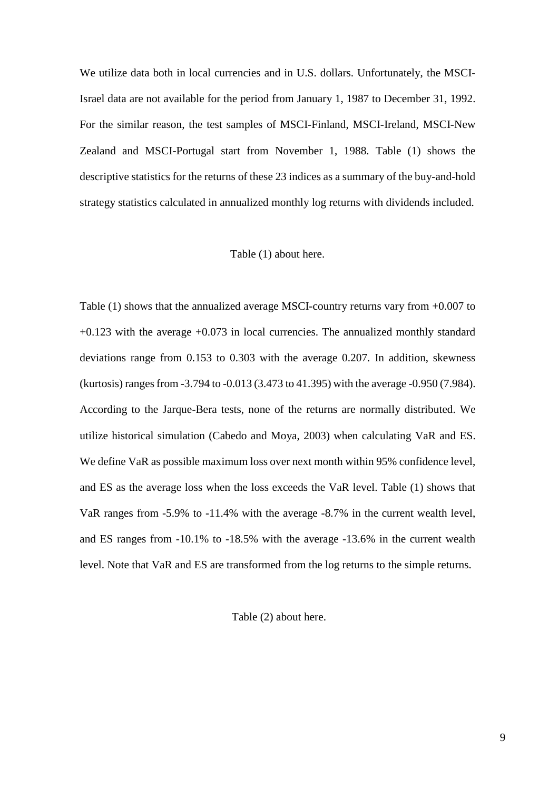We utilize data both in local currencies and in U.S. dollars. Unfortunately, the MSCI-Israel data are not available for the period from January 1, 1987 to December 31, 1992. For the similar reason, the test samples of MSCI-Finland, MSCI-Ireland, MSCI-New Zealand and MSCI-Portugal start from November 1, 1988. Table (1) shows the descriptive statistics for the returns of these 23 indices as a summary of the buy-and-hold strategy statistics calculated in annualized monthly log returns with dividends included.

## Table (1) about here.

Table (1) shows that the annualized average MSCI-country returns vary from +0.007 to +0.123 with the average +0.073 in local currencies. The annualized monthly standard deviations range from 0.153 to 0.303 with the average 0.207. In addition, skewness (kurtosis) ranges from -3.794 to -0.013 (3.473 to 41.395) with the average -0.950 (7.984). According to the Jarque-Bera tests, none of the returns are normally distributed. We utilize historical simulation (Cabedo and Moya, 2003) when calculating VaR and ES. We define VaR as possible maximum loss over next month within 95% confidence level, and ES as the average loss when the loss exceeds the VaR level. Table (1) shows that VaR ranges from -5.9% to -11.4% with the average -8.7% in the current wealth level, and ES ranges from -10.1% to -18.5% with the average -13.6% in the current wealth level. Note that VaR and ES are transformed from the log returns to the simple returns.

Table (2) about here.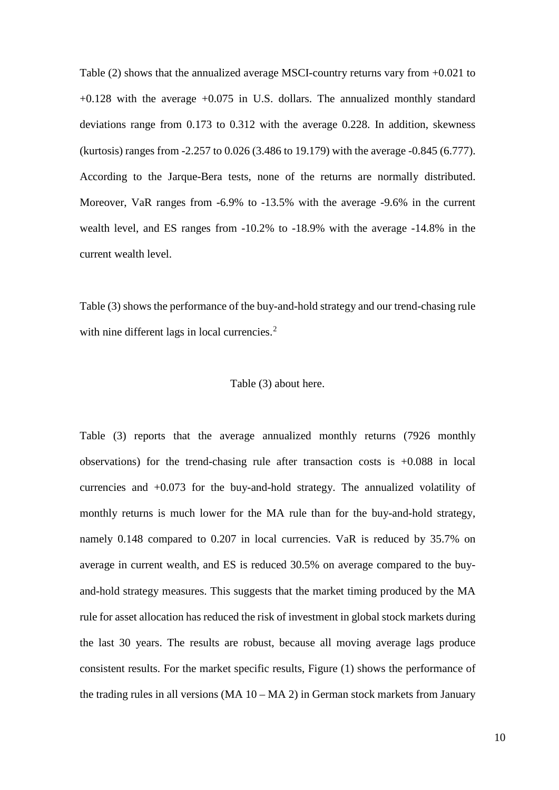Table (2) shows that the annualized average MSCI-country returns vary from +0.021 to  $+0.128$  with the average  $+0.075$  in U.S. dollars. The annualized monthly standard deviations range from 0.173 to 0.312 with the average 0.228. In addition, skewness (kurtosis) ranges from -2.257 to 0.026 (3.486 to 19.179) with the average -0.845 (6.777). According to the Jarque-Bera tests, none of the returns are normally distributed. Moreover, VaR ranges from -6.9% to -13.5% with the average -9.6% in the current wealth level, and ES ranges from -10.2% to -18.9% with the average -14.8% in the current wealth level.

Table (3) shows the performance of the buy-and-hold strategy and our trend-chasing rule with nine different lags in local currencies.<sup>[2](#page-3-1)</sup>

### Table (3) about here.

Table (3) reports that the average annualized monthly returns (7926 monthly observations) for the trend-chasing rule after transaction costs is +0.088 in local currencies and +0.073 for the buy-and-hold strategy. The annualized volatility of monthly returns is much lower for the MA rule than for the buy-and-hold strategy, namely 0.148 compared to 0.207 in local currencies. VaR is reduced by 35.7% on average in current wealth, and ES is reduced 30.5% on average compared to the buyand-hold strategy measures. This suggests that the market timing produced by the MA rule for asset allocation has reduced the risk of investment in global stock markets during the last 30 years. The results are robust, because all moving average lags produce consistent results. For the market specific results, Figure (1) shows the performance of the trading rules in all versions (MA 10 – MA 2) in German stock markets from January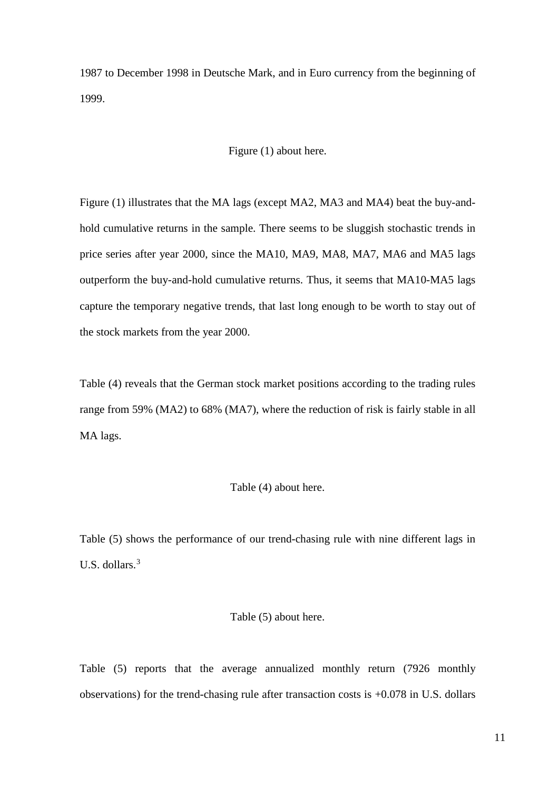1987 to December 1998 in Deutsche Mark, and in Euro currency from the beginning of 1999.

# Figure (1) about here.

Figure (1) illustrates that the MA lags (except MA2, MA3 and MA4) beat the buy-andhold cumulative returns in the sample. There seems to be sluggish stochastic trends in price series after year 2000, since the MA10, MA9, MA8, MA7, MA6 and MA5 lags outperform the buy-and-hold cumulative returns. Thus, it seems that MA10-MA5 lags capture the temporary negative trends, that last long enough to be worth to stay out of the stock markets from the year 2000.

Table (4) reveals that the German stock market positions according to the trading rules range from 59% (MA2) to 68% (MA7), where the reduction of risk is fairly stable in all MA lags.

### Table (4) about here.

Table (5) shows the performance of our trend-chasing rule with nine different lags in U.S. dollars.[3](#page-3-2)

## Table (5) about here.

Table (5) reports that the average annualized monthly return (7926 monthly observations) for the trend-chasing rule after transaction costs is +0.078 in U.S. dollars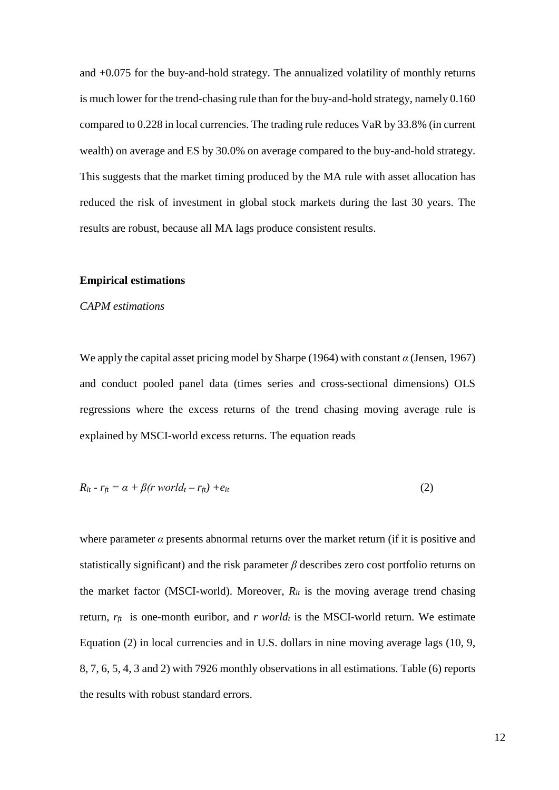and +0.075 for the buy-and-hold strategy. The annualized volatility of monthly returns is much lower for the trend-chasing rule than for the buy-and-hold strategy, namely 0.160 compared to 0.228 in local currencies. The trading rule reduces VaR by 33.8% (in current wealth) on average and ES by 30.0% on average compared to the buy-and-hold strategy. This suggests that the market timing produced by the MA rule with asset allocation has reduced the risk of investment in global stock markets during the last 30 years. The results are robust, because all MA lags produce consistent results.

### **Empirical estimations**

## *CAPM estimations*

We apply the capital asset pricing model by Sharpe (1964) with constant *α* (Jensen, 1967) and conduct pooled panel data (times series and cross-sectional dimensions) OLS regressions where the excess returns of the trend chasing moving average rule is explained by MSCI-world excess returns. The equation reads

$$
R_{it} - r_{ft} = \alpha + \beta (r \; world_t - r_{ft}) + e_{it} \tag{2}
$$

where parameter  $\alpha$  presents abnormal returns over the market return (if it is positive and statistically significant) and the risk parameter *β* describes zero cost portfolio returns on the market factor (MSCI-world). Moreover,  $R_{it}$  is the moving average trend chasing return,  $r_f$  is one-month euribor, and *r world<sub>t</sub>* is the MSCI-world return. We estimate Equation (2) in local currencies and in U.S. dollars in nine moving average lags (10, 9, 8, 7, 6, 5, 4, 3 and 2) with 7926 monthly observations in all estimations. Table (6) reports the results with robust standard errors.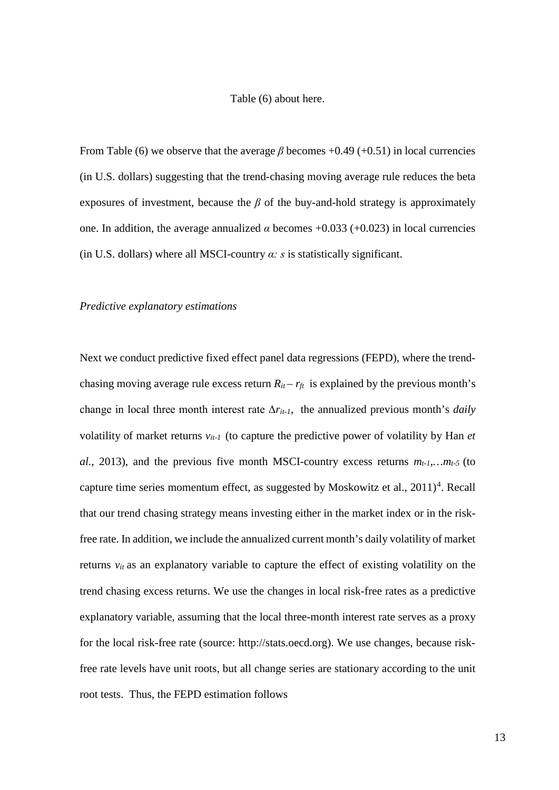#### Table (6) about here.

From Table (6) we observe that the average  $\beta$  becomes +0.49 (+0.51) in local currencies (in U.S. dollars) suggesting that the trend-chasing moving average rule reduces the beta exposures of investment, because the  $\beta$  of the buy-and-hold strategy is approximately one. In addition, the average annualized  $\alpha$  becomes +0.033 (+0.023) in local currencies (in U.S. dollars) where all MSCI-country *α: s* is statistically significant.

## *Predictive explanatory estimations*

Next we conduct predictive fixed effect panel data regressions (FEPD), where the trendchasing moving average rule excess return  $R_{it} - r_{ft}$  is explained by the previous month's change in local three month interest rate  $\Delta r_{it-1}$ , the annualized previous month's *daily* volatility of market returns *vit-1* (to capture the predictive power of volatility by Han *et al.*, 2013), and the previous five month MSCI-country excess returns  $m_{t-1}$ ,  $m_{t-5}$  (to capture time series momentum effect, as suggested by Moskowitz et al.,  $2011)^4$  $2011)^4$ . Recall that our trend chasing strategy means investing either in the market index or in the riskfree rate. In addition, we include the annualized current month's daily volatility of market returns *vit* as an explanatory variable to capture the effect of existing volatility on the trend chasing excess returns. We use the changes in local risk-free rates as a predictive explanatory variable, assuming that the local three-month interest rate serves as a proxy for the local risk-free rate (source: [http://stats.oecd.org\)](http://stats.oecd.org/). We use changes, because riskfree rate levels have unit roots, but all change series are stationary according to the unit root tests. Thus, the FEPD estimation follows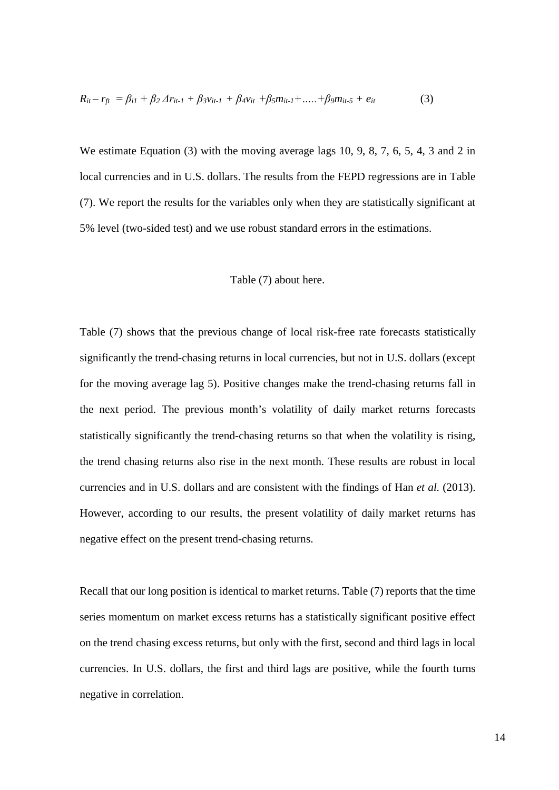$$
R_{it} - r_{ft} = \beta_{i1} + \beta_2 \Delta r_{it-1} + \beta_3 v_{it-1} + \beta_4 v_{it} + \beta_5 m_{it-1} + \dots + \beta_9 m_{it-5} + e_{it}
$$
(3)

We estimate Equation (3) with the moving average lags 10, 9, 8, 7, 6, 5, 4, 3 and 2 in local currencies and in U.S. dollars. The results from the FEPD regressions are in Table (7). We report the results for the variables only when they are statistically significant at 5% level (two-sided test) and we use robust standard errors in the estimations.

#### Table (7) about here.

Table (7) shows that the previous change of local risk-free rate forecasts statistically significantly the trend-chasing returns in local currencies, but not in U.S. dollars (except for the moving average lag 5). Positive changes make the trend-chasing returns fall in the next period. The previous month's volatility of daily market returns forecasts statistically significantly the trend-chasing returns so that when the volatility is rising, the trend chasing returns also rise in the next month. These results are robust in local currencies and in U.S. dollars and are consistent with the findings of Han *et al.* (2013). However, according to our results, the present volatility of daily market returns has negative effect on the present trend-chasing returns.

Recall that our long position is identical to market returns. Table (7) reports that the time series momentum on market excess returns has a statistically significant positive effect on the trend chasing excess returns, but only with the first, second and third lags in local currencies. In U.S. dollars, the first and third lags are positive, while the fourth turns negative in correlation.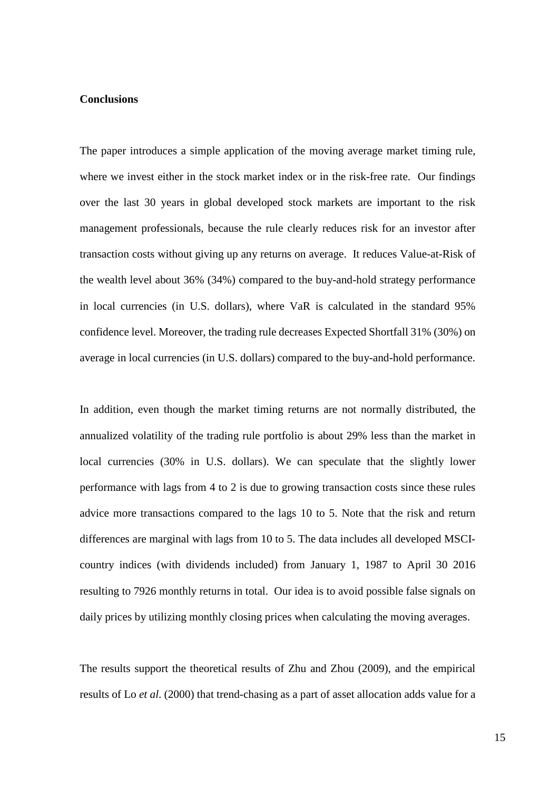# **Conclusions**

The paper introduces a simple application of the moving average market timing rule, where we invest either in the stock market index or in the risk-free rate. Our findings over the last 30 years in global developed stock markets are important to the risk management professionals, because the rule clearly reduces risk for an investor after transaction costs without giving up any returns on average. It reduces Value-at-Risk of the wealth level about 36% (34%) compared to the buy-and-hold strategy performance in local currencies (in U.S. dollars), where VaR is calculated in the standard 95% confidence level. Moreover, the trading rule decreases Expected Shortfall 31% (30%) on average in local currencies (in U.S. dollars) compared to the buy-and-hold performance.

In addition, even though the market timing returns are not normally distributed, the annualized volatility of the trading rule portfolio is about 29% less than the market in local currencies (30% in U.S. dollars). We can speculate that the slightly lower performance with lags from 4 to 2 is due to growing transaction costs since these rules advice more transactions compared to the lags 10 to 5. Note that the risk and return differences are marginal with lags from 10 to 5. The data includes all developed MSCIcountry indices (with dividends included) from January 1, 1987 to April 30 2016 resulting to 7926 monthly returns in total. Our idea is to avoid possible false signals on daily prices by utilizing monthly closing prices when calculating the moving averages.

The results support the theoretical results of Zhu and Zhou (2009), and the empirical results of Lo *et al*. (2000) that trend-chasing as a part of asset allocation adds value for a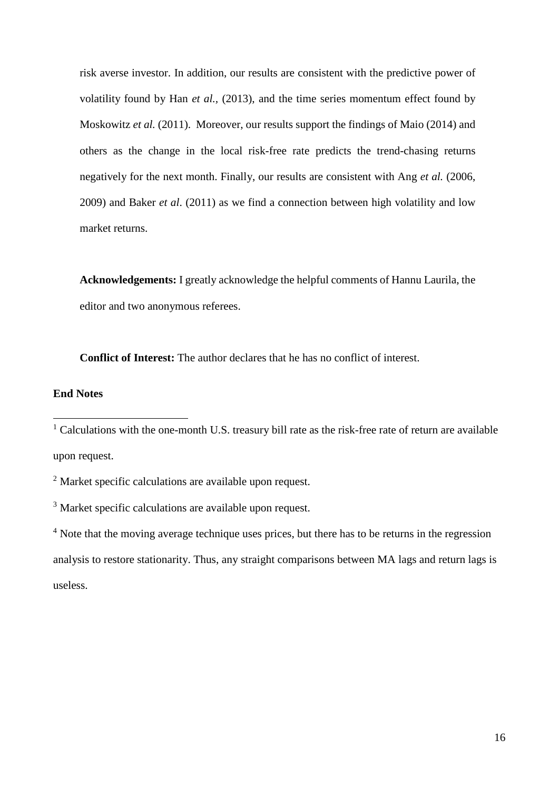risk averse investor. In addition, our results are consistent with the predictive power of volatility found by Han *et al.,* (2013), and the time series momentum effect found by Moskowitz *et al.* (2011). Moreover, our results support the findings of Maio (2014) and others as the change in the local risk-free rate predicts the trend-chasing returns negatively for the next month. Finally, our results are consistent with Ang *et al.* (2006, 2009) and Baker *et al*. (2011) as we find a connection between high volatility and low market returns.

**Acknowledgements:** I greatly acknowledge the helpful comments of Hannu Laurila, the editor and two anonymous referees.

**Conflict of Interest:** The author declares that he has no conflict of interest.

# **End Notes**

 $\overline{\phantom{a}}$ 

<sup>&</sup>lt;sup>1</sup> Calculations with the one-month U.S. treasury bill rate as the risk-free rate of return are available upon request.

<sup>2</sup> Market specific calculations are available upon request.

<sup>&</sup>lt;sup>3</sup> Market specific calculations are available upon request.

<sup>&</sup>lt;sup>4</sup> Note that the moving average technique uses prices, but there has to be returns in the regression analysis to restore stationarity. Thus, any straight comparisons between MA lags and return lags is useless.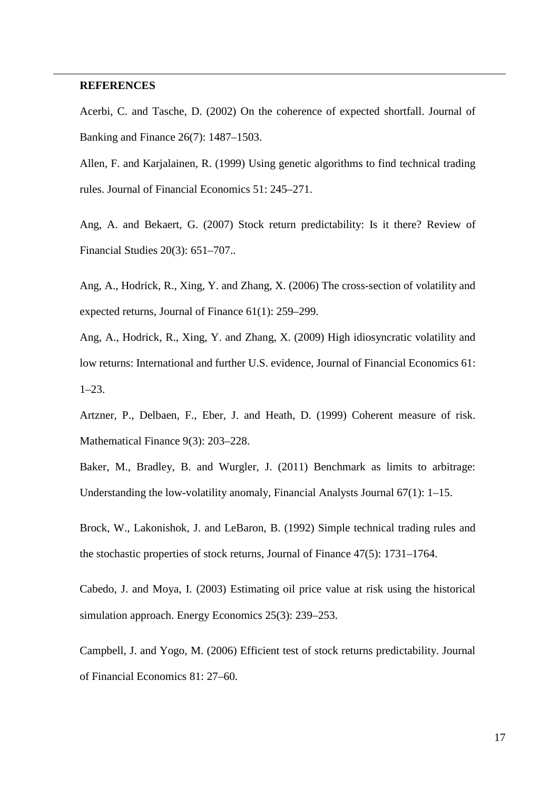## **REFERENCES**

1

Acerbi, C. and Tasche, D. (2002) On the coherence of expected shortfall. Journal of Banking and Finance 26(7): 1487–1503.

Allen, F. and Karjalainen, R. (1999) Using genetic algorithms to find technical trading rules. Journal of Financial Economics 51: 245–271.

Ang, A. and Bekaert, G. (2007) Stock return predictability: Is it there? Review of Financial Studies 20(3): 651–707..

Ang, A., Hodrick, R., Xing, Y. and Zhang, X. (2006) The cross-section of volatility and expected returns, Journal of Finance 61(1): 259–299.

Ang, A., Hodrick, R., Xing, Y. and Zhang, X. (2009) High idiosyncratic volatility and low returns: International and further U.S. evidence, Journal of Financial Economics 61: 1–23.

Artzner, P., Delbaen, F., Eber, J. and Heath, D. (1999) Coherent measure of risk. Mathematical Finance 9(3): 203–228.

Baker, M., Bradley, B. and Wurgler, J. (2011) Benchmark as limits to arbitrage: Understanding the low-volatility anomaly, Financial Analysts Journal 67(1): 1–15.

Brock, W., Lakonishok, J. and LeBaron, B. (1992) Simple technical trading rules and the stochastic properties of stock returns, Journal of Finance 47(5): 1731–1764.

Cabedo, J. and Moya, I. (2003) Estimating oil price value at risk using the historical simulation approach. Energy Economics 25(3): 239–253.

Campbell, J. and Yogo, M. (2006) Efficient test of stock returns predictability. Journal of Financial Economics 81: 27–60.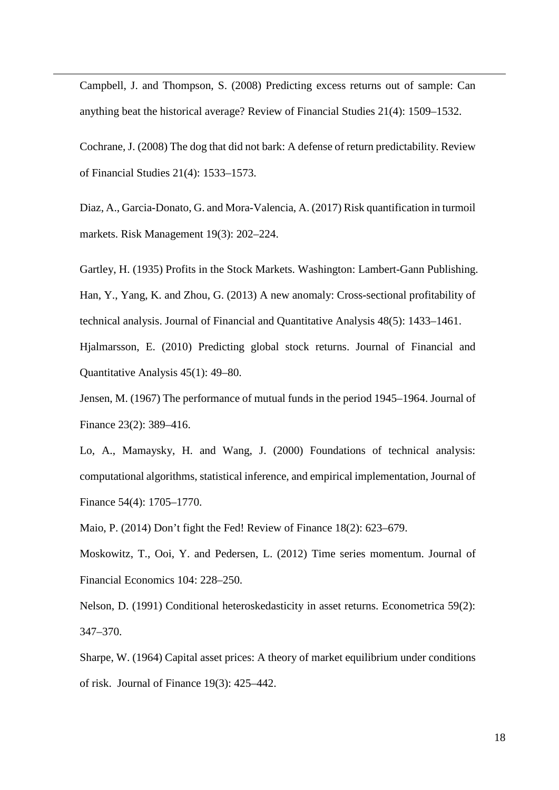Campbell, J. and Thompson, S. (2008) Predicting excess returns out of sample: Can anything beat the historical average? Review of Financial Studies 21(4): 1509–1532.

Cochrane, J. (2008) The dog that did not bark: A defense of return predictability. Review of Financial Studies 21(4): 1533–1573.

Diaz, A., Garcia-Donato, G. and Mora-Valencia, A. (2017) Risk quantification in turmoil markets. Risk Management 19(3): 202–224.

Gartley, H. (1935) Profits in the Stock Markets. Washington: Lambert-Gann Publishing. Han, Y., Yang, K. and Zhou, G. (2013) A new anomaly: Cross-sectional profitability of technical analysis. Journal of Financial and Quantitative Analysis 48(5): 1433–1461. Hjalmarsson, E. (2010) Predicting global stock returns. Journal of Financial and

Quantitative Analysis 45(1): 49–80.

1

Jensen, M. (1967) The performance of mutual funds in the period 1945–1964. Journal of Finance 23(2): 389–416.

Lo, A., Mamaysky, H. and Wang, J. (2000) Foundations of technical analysis: computational algorithms, statistical inference, and empirical implementation, Journal of Finance 54(4): 1705–1770.

Maio, P. (2014) Don't fight the Fed! Review of Finance 18(2): 623–679.

Moskowitz, T., Ooi, Y. and Pedersen, L. (2012) Time series momentum. Journal of Financial Economics 104: 228–250.

Nelson, D. (1991) Conditional heteroskedasticity in asset returns. Econometrica 59(2): 347–370.

Sharpe, W. (1964) Capital asset prices: A theory of market equilibrium under conditions of risk. Journal of Finance 19(3): 425–442.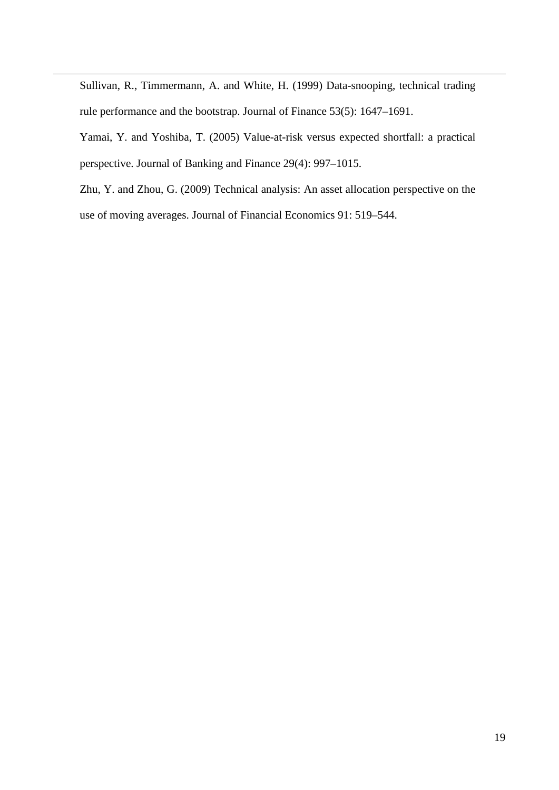Sullivan, R., Timmermann, A. and White, H. (1999) Data-snooping, technical trading rule performance and the bootstrap. Journal of Finance 53(5): 1647–1691.

1

Yamai, Y. and Yoshiba, T. (2005) Value-at-risk versus expected shortfall: a practical perspective. Journal of Banking and Finance 29(4): 997–1015.

Zhu, Y. and Zhou, G. (2009) Technical analysis: An asset allocation perspective on the use of moving averages. Journal of Financial Economics 91: 519–544.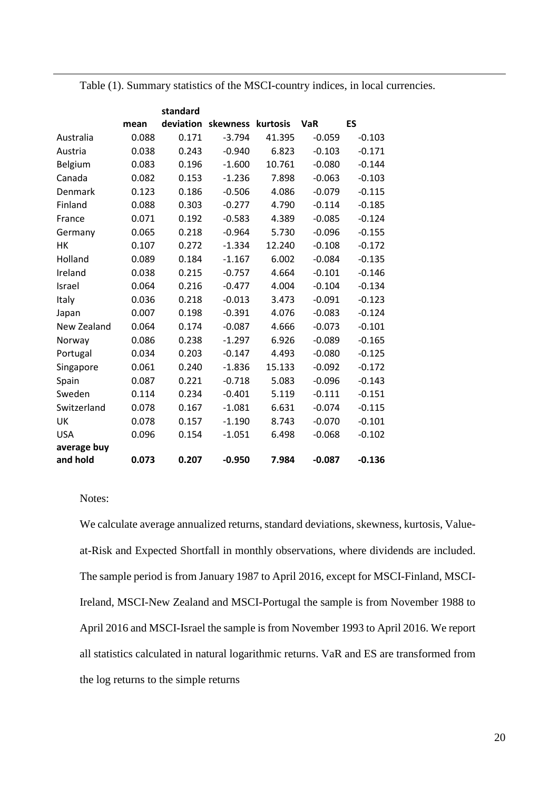Table (1). Summary statistics of the MSCI-country indices, in local currencies.

|             |       | standard |                             |        |            |          |
|-------------|-------|----------|-----------------------------|--------|------------|----------|
|             | mean  |          | deviation skewness kurtosis |        | <b>VaR</b> | ES       |
| Australia   | 0.088 | 0.171    | $-3.794$                    | 41.395 | $-0.059$   | $-0.103$ |
| Austria     | 0.038 | 0.243    | $-0.940$                    | 6.823  | $-0.103$   | $-0.171$ |
| Belgium     | 0.083 | 0.196    | $-1.600$                    | 10.761 | $-0.080$   | $-0.144$ |
| Canada      | 0.082 | 0.153    | $-1.236$                    | 7.898  | $-0.063$   | $-0.103$ |
| Denmark     | 0.123 | 0.186    | $-0.506$                    | 4.086  | $-0.079$   | $-0.115$ |
| Finland     | 0.088 | 0.303    | $-0.277$                    | 4.790  | $-0.114$   | $-0.185$ |
| France      | 0.071 | 0.192    | $-0.583$                    | 4.389  | $-0.085$   | $-0.124$ |
| Germany     | 0.065 | 0.218    | $-0.964$                    | 5.730  | $-0.096$   | $-0.155$ |
| HK          | 0.107 | 0.272    | $-1.334$                    | 12.240 | $-0.108$   | $-0.172$ |
| Holland     | 0.089 | 0.184    | $-1.167$                    | 6.002  | $-0.084$   | $-0.135$ |
| Ireland     | 0.038 | 0.215    | $-0.757$                    | 4.664  | $-0.101$   | $-0.146$ |
| Israel      | 0.064 | 0.216    | $-0.477$                    | 4.004  | $-0.104$   | $-0.134$ |
| Italy       | 0.036 | 0.218    | $-0.013$                    | 3.473  | $-0.091$   | $-0.123$ |
| Japan       | 0.007 | 0.198    | $-0.391$                    | 4.076  | $-0.083$   | $-0.124$ |
| New Zealand | 0.064 | 0.174    | $-0.087$                    | 4.666  | $-0.073$   | $-0.101$ |
| Norway      | 0.086 | 0.238    | $-1.297$                    | 6.926  | $-0.089$   | $-0.165$ |
| Portugal    | 0.034 | 0.203    | $-0.147$                    | 4.493  | $-0.080$   | $-0.125$ |
| Singapore   | 0.061 | 0.240    | $-1.836$                    | 15.133 | $-0.092$   | $-0.172$ |
| Spain       | 0.087 | 0.221    | $-0.718$                    | 5.083  | $-0.096$   | $-0.143$ |
| Sweden      | 0.114 | 0.234    | $-0.401$                    | 5.119  | $-0.111$   | $-0.151$ |
| Switzerland | 0.078 | 0.167    | $-1.081$                    | 6.631  | $-0.074$   | $-0.115$ |
| UK          | 0.078 | 0.157    | $-1.190$                    | 8.743  | $-0.070$   | $-0.101$ |
| <b>USA</b>  | 0.096 | 0.154    | $-1.051$                    | 6.498  | $-0.068$   | $-0.102$ |
| average buy |       |          |                             |        |            |          |
| and hold    | 0.073 | 0.207    | $-0.950$                    | 7.984  | $-0.087$   | $-0.136$ |

# Notes:

1

We calculate average annualized returns, standard deviations, skewness, kurtosis, Valueat-Risk and Expected Shortfall in monthly observations, where dividends are included. The sample period is from January 1987 to April 2016, except for MSCI-Finland, MSCI-Ireland, MSCI-New Zealand and MSCI-Portugal the sample is from November 1988 to April 2016 and MSCI-Israel the sample is from November 1993 to April 2016. We report all statistics calculated in natural logarithmic returns. VaR and ES are transformed from the log returns to the simple returns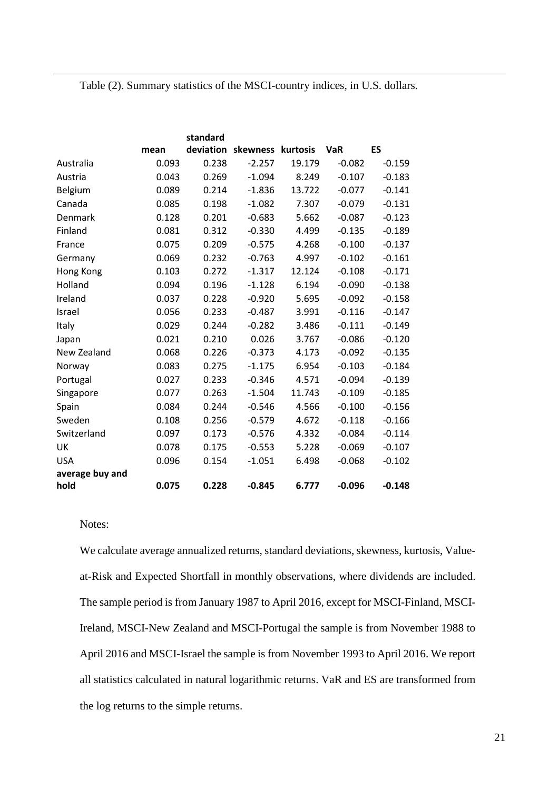Table (2). Summary statistics of the MSCI-country indices, in U.S. dollars.

|                 |       | standard |                             |        |            |          |
|-----------------|-------|----------|-----------------------------|--------|------------|----------|
|                 | mean  |          | deviation skewness kurtosis |        | <b>VaR</b> | ES       |
| Australia       | 0.093 | 0.238    | $-2.257$                    | 19.179 | $-0.082$   | $-0.159$ |
| Austria         | 0.043 | 0.269    | $-1.094$                    | 8.249  | $-0.107$   | $-0.183$ |
| Belgium         | 0.089 | 0.214    | $-1.836$                    | 13.722 | $-0.077$   | $-0.141$ |
| Canada          | 0.085 | 0.198    | $-1.082$                    | 7.307  | $-0.079$   | $-0.131$ |
| Denmark         | 0.128 | 0.201    | $-0.683$                    | 5.662  | $-0.087$   | $-0.123$ |
| Finland         | 0.081 | 0.312    | $-0.330$                    | 4.499  | $-0.135$   | $-0.189$ |
| France          | 0.075 | 0.209    | $-0.575$                    | 4.268  | $-0.100$   | $-0.137$ |
| Germany         | 0.069 | 0.232    | $-0.763$                    | 4.997  | $-0.102$   | $-0.161$ |
| Hong Kong       | 0.103 | 0.272    | $-1.317$                    | 12.124 | $-0.108$   | $-0.171$ |
| Holland         | 0.094 | 0.196    | $-1.128$                    | 6.194  | $-0.090$   | $-0.138$ |
| Ireland         | 0.037 | 0.228    | $-0.920$                    | 5.695  | $-0.092$   | $-0.158$ |
| Israel          | 0.056 | 0.233    | $-0.487$                    | 3.991  | $-0.116$   | $-0.147$ |
| Italy           | 0.029 | 0.244    | $-0.282$                    | 3.486  | $-0.111$   | $-0.149$ |
| Japan           | 0.021 | 0.210    | 0.026                       | 3.767  | $-0.086$   | $-0.120$ |
| New Zealand     | 0.068 | 0.226    | $-0.373$                    | 4.173  | $-0.092$   | $-0.135$ |
| Norway          | 0.083 | 0.275    | $-1.175$                    | 6.954  | $-0.103$   | $-0.184$ |
| Portugal        | 0.027 | 0.233    | $-0.346$                    | 4.571  | $-0.094$   | $-0.139$ |
| Singapore       | 0.077 | 0.263    | $-1.504$                    | 11.743 | $-0.109$   | $-0.185$ |
| Spain           | 0.084 | 0.244    | $-0.546$                    | 4.566  | $-0.100$   | $-0.156$ |
| Sweden          | 0.108 | 0.256    | $-0.579$                    | 4.672  | $-0.118$   | $-0.166$ |
| Switzerland     | 0.097 | 0.173    | $-0.576$                    | 4.332  | $-0.084$   | $-0.114$ |
| UK              | 0.078 | 0.175    | $-0.553$                    | 5.228  | $-0.069$   | $-0.107$ |
| <b>USA</b>      | 0.096 | 0.154    | $-1.051$                    | 6.498  | $-0.068$   | $-0.102$ |
| average buy and |       |          |                             |        |            |          |
| hold            | 0.075 | 0.228    | $-0.845$                    | 6.777  | $-0.096$   | $-0.148$ |

# Notes:

1

We calculate average annualized returns, standard deviations, skewness, kurtosis, Valueat-Risk and Expected Shortfall in monthly observations, where dividends are included. The sample period is from January 1987 to April 2016, except for MSCI-Finland, MSCI-Ireland, MSCI-New Zealand and MSCI-Portugal the sample is from November 1988 to April 2016 and MSCI-Israel the sample is from November 1993 to April 2016. We report all statistics calculated in natural logarithmic returns. VaR and ES are transformed from the log returns to the simple returns.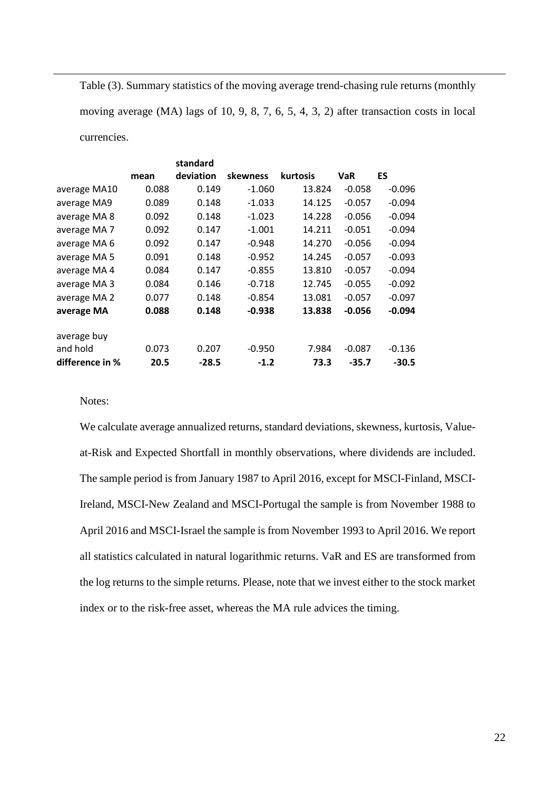Table (3). Summary statistics of the moving average trend-chasing rule returns (monthly

moving average (MA) lags of 10, 9, 8, 7, 6, 5, 4, 3, 2) after transaction costs in local

currencies.

1

|                         |       | standard  |          |                 |            |          |
|-------------------------|-------|-----------|----------|-----------------|------------|----------|
|                         | mean  | deviation | skewness | <b>kurtosis</b> | <b>VaR</b> | ES       |
| average MA10            | 0.088 | 0.149     | $-1.060$ | 13.824          | $-0.058$   | $-0.096$ |
| average MA9             | 0.089 | 0.148     | $-1.033$ | 14.125          | $-0.057$   | $-0.094$ |
| average MA 8            | 0.092 | 0.148     | $-1.023$ | 14.228          | $-0.056$   | $-0.094$ |
| average MA <sub>7</sub> | 0.092 | 0.147     | $-1.001$ | 14.211          | $-0.051$   | $-0.094$ |
| average MA 6            | 0.092 | 0.147     | $-0.948$ | 14.270          | $-0.056$   | $-0.094$ |
| average MA 5            | 0.091 | 0.148     | $-0.952$ | 14.245          | $-0.057$   | $-0.093$ |
| average MA 4            | 0.084 | 0.147     | $-0.855$ | 13.810          | $-0.057$   | $-0.094$ |
| average MA 3            | 0.084 | 0.146     | $-0.718$ | 12.745          | $-0.055$   | $-0.092$ |
| average MA 2            | 0.077 | 0.148     | $-0.854$ | 13.081          | $-0.057$   | $-0.097$ |
| average MA              | 0.088 | 0.148     | $-0.938$ | 13.838          | $-0.056$   | $-0.094$ |
| average buy             |       |           |          |                 |            |          |
| and hold                | 0.073 | 0.207     | $-0.950$ | 7.984           | $-0.087$   | $-0.136$ |
| difference in %         | 20.5  | $-28.5$   | $-1.2$   | 73.3            | $-35.7$    | $-30.5$  |

Notes:

We calculate average annualized returns, standard deviations, skewness, kurtosis, Valueat-Risk and Expected Shortfall in monthly observations, where dividends are included. The sample period is from January 1987 to April 2016, except for MSCI-Finland, MSCI-Ireland, MSCI-New Zealand and MSCI-Portugal the sample is from November 1988 to April 2016 and MSCI-Israel the sample is from November 1993 to April 2016. We report all statistics calculated in natural logarithmic returns. VaR and ES are transformed from the log returns to the simple returns. Please, note that we invest either to the stock market index or to the risk-free asset, whereas the MA rule advices the timing.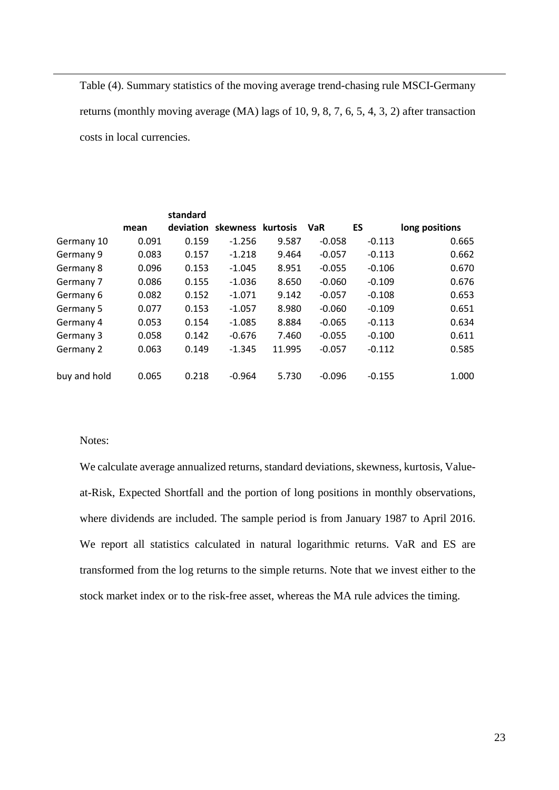Table (4). Summary statistics of the moving average trend-chasing rule MSCI-Germany returns (monthly moving average (MA) lags of 10, 9, 8, 7, 6, 5, 4, 3, 2) after transaction costs in local currencies.

|              |       | standard  |                   |        |            |          |                |
|--------------|-------|-----------|-------------------|--------|------------|----------|----------------|
|              | mean  | deviation | skewness kurtosis |        | <b>VaR</b> | ES       | long positions |
| Germany 10   | 0.091 | 0.159     | $-1.256$          | 9.587  | $-0.058$   | $-0.113$ | 0.665          |
| Germany 9    | 0.083 | 0.157     | $-1.218$          | 9.464  | $-0.057$   | $-0.113$ | 0.662          |
| Germany 8    | 0.096 | 0.153     | $-1.045$          | 8.951  | $-0.055$   | $-0.106$ | 0.670          |
| Germany 7    | 0.086 | 0.155     | $-1.036$          | 8.650  | $-0.060$   | $-0.109$ | 0.676          |
| Germany 6    | 0.082 | 0.152     | $-1.071$          | 9.142  | $-0.057$   | $-0.108$ | 0.653          |
| Germany 5    | 0.077 | 0.153     | $-1.057$          | 8.980  | $-0.060$   | $-0.109$ | 0.651          |
| Germany 4    | 0.053 | 0.154     | $-1.085$          | 8.884  | $-0.065$   | $-0.113$ | 0.634          |
| Germany 3    | 0.058 | 0.142     | $-0.676$          | 7.460  | $-0.055$   | $-0.100$ | 0.611          |
| Germany 2    | 0.063 | 0.149     | $-1.345$          | 11.995 | $-0.057$   | $-0.112$ | 0.585          |
|              |       |           |                   |        |            |          |                |
| buy and hold | 0.065 | 0.218     | $-0.964$          | 5.730  | $-0.096$   | $-0.155$ | 1.000          |

## Notes:

1

We calculate average annualized returns, standard deviations, skewness, kurtosis, Valueat-Risk, Expected Shortfall and the portion of long positions in monthly observations, where dividends are included. The sample period is from January 1987 to April 2016. We report all statistics calculated in natural logarithmic returns. VaR and ES are transformed from the log returns to the simple returns. Note that we invest either to the stock market index or to the risk-free asset, whereas the MA rule advices the timing.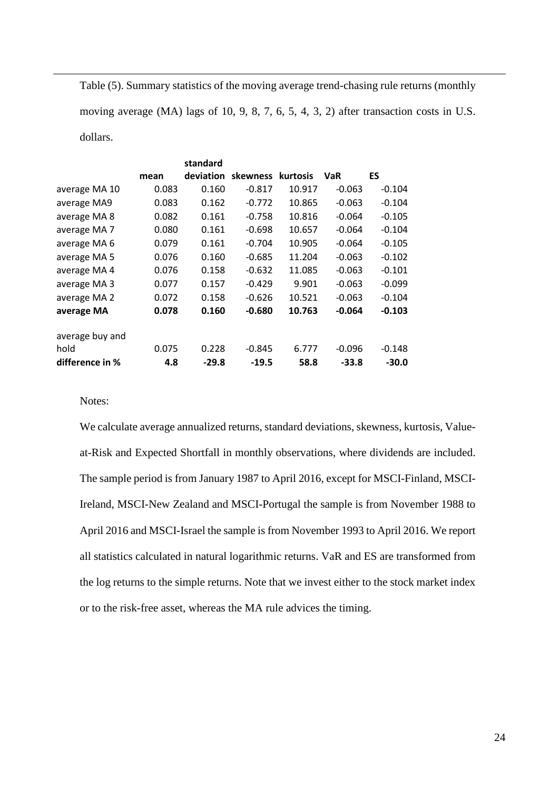Table (5). Summary statistics of the moving average trend-chasing rule returns (monthly

moving average (MA) lags of 10, 9, 8, 7, 6, 5, 4, 3, 2) after transaction costs in U.S.

dollars.

1

|                         |       | standard |                             |        |            |          |
|-------------------------|-------|----------|-----------------------------|--------|------------|----------|
|                         | mean  |          | deviation skewness kurtosis |        | <b>VaR</b> | ES       |
| average MA 10           | 0.083 | 0.160    | $-0.817$                    | 10.917 | $-0.063$   | $-0.104$ |
| average MA9             | 0.083 | 0.162    | $-0.772$                    | 10.865 | $-0.063$   | $-0.104$ |
| average MA 8            | 0.082 | 0.161    | $-0.758$                    | 10.816 | $-0.064$   | $-0.105$ |
| average MA <sub>7</sub> | 0.080 | 0.161    | $-0.698$                    | 10.657 | $-0.064$   | $-0.104$ |
| average MA 6            | 0.079 | 0.161    | $-0.704$                    | 10.905 | $-0.064$   | $-0.105$ |
| average MA 5            | 0.076 | 0.160    | $-0.685$                    | 11.204 | $-0.063$   | $-0.102$ |
| average MA 4            | 0.076 | 0.158    | $-0.632$                    | 11.085 | $-0.063$   | $-0.101$ |
| average MA 3            | 0.077 | 0.157    | $-0.429$                    | 9.901  | $-0.063$   | $-0.099$ |
| average MA 2            | 0.072 | 0.158    | $-0.626$                    | 10.521 | $-0.063$   | $-0.104$ |
| average MA              | 0.078 | 0.160    | $-0.680$                    | 10.763 | $-0.064$   | $-0.103$ |
| average buy and         |       |          |                             |        |            |          |
| hold                    | 0.075 | 0.228    | $-0.845$                    | 6.777  | $-0.096$   | $-0.148$ |
| difference in %         | 4.8   | $-29.8$  | $-19.5$                     | 58.8   | $-33.8$    | $-30.0$  |

Notes:

We calculate average annualized returns, standard deviations, skewness, kurtosis, Valueat-Risk and Expected Shortfall in monthly observations, where dividends are included. The sample period is from January 1987 to April 2016, except for MSCI-Finland, MSCI-Ireland, MSCI-New Zealand and MSCI-Portugal the sample is from November 1988 to April 2016 and MSCI-Israel the sample is from November 1993 to April 2016. We report all statistics calculated in natural logarithmic returns. VaR and ES are transformed from the log returns to the simple returns. Note that we invest either to the stock market index or to the risk-free asset, whereas the MA rule advices the timing.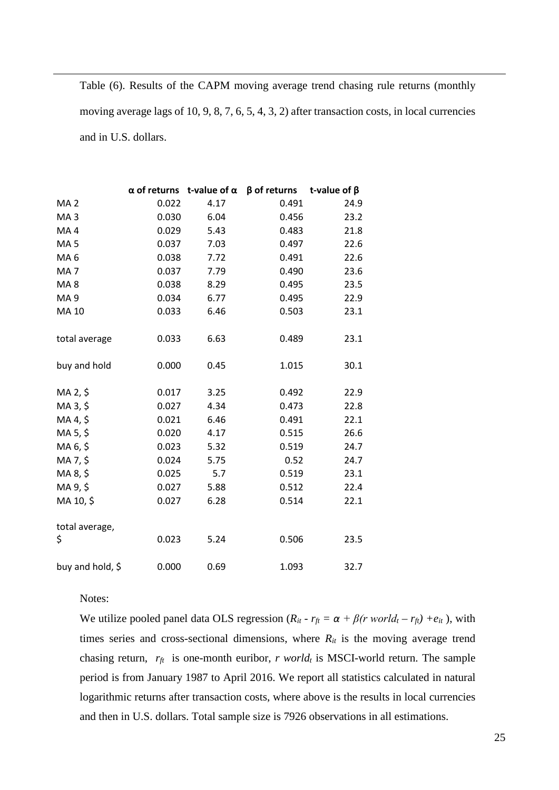Table (6). Results of the CAPM moving average trend chasing rule returns (monthly moving average lags of 10, 9, 8, 7, 6, 5, 4, 3, 2) after transaction costs, in local currencies and in U.S. dollars.

|                  |       |      | $\alpha$ of returns t-value of $\alpha$ $\beta$ of returns t-value of $\beta$ |      |
|------------------|-------|------|-------------------------------------------------------------------------------|------|
| MA <sub>2</sub>  | 0.022 | 4.17 | 0.491                                                                         | 24.9 |
| MA <sub>3</sub>  | 0.030 | 6.04 | 0.456                                                                         | 23.2 |
| MA4              | 0.029 | 5.43 | 0.483                                                                         | 21.8 |
| MA <sub>5</sub>  | 0.037 | 7.03 | 0.497                                                                         | 22.6 |
| MA <sub>6</sub>  | 0.038 | 7.72 | 0.491                                                                         | 22.6 |
| MA <sub>7</sub>  | 0.037 | 7.79 | 0.490                                                                         | 23.6 |
| MA <sub>8</sub>  | 0.038 | 8.29 | 0.495                                                                         | 23.5 |
| MA <sub>9</sub>  | 0.034 | 6.77 | 0.495                                                                         | 22.9 |
| MA 10            | 0.033 | 6.46 | 0.503                                                                         | 23.1 |
| total average    | 0.033 | 6.63 | 0.489                                                                         | 23.1 |
| buy and hold     | 0.000 | 0.45 | 1.015                                                                         | 30.1 |
| MA 2, \$         | 0.017 | 3.25 | 0.492                                                                         | 22.9 |
| MA 3, \$         | 0.027 | 4.34 | 0.473                                                                         | 22.8 |
| MA 4, \$         | 0.021 | 6.46 | 0.491                                                                         | 22.1 |
| MA 5, \$         | 0.020 | 4.17 | 0.515                                                                         | 26.6 |
| MA 6, \$         | 0.023 | 5.32 | 0.519                                                                         | 24.7 |
| MA 7, \$         | 0.024 | 5.75 | 0.52                                                                          | 24.7 |
| MA 8, \$         | 0.025 | 5.7  | 0.519                                                                         | 23.1 |
| MA 9, \$         | 0.027 | 5.88 | 0.512                                                                         | 22.4 |
| MA 10, \$        | 0.027 | 6.28 | 0.514                                                                         | 22.1 |
| total average,   |       |      |                                                                               |      |
| \$               | 0.023 | 5.24 | 0.506                                                                         | 23.5 |
| buy and hold, \$ | 0.000 | 0.69 | 1.093                                                                         | 32.7 |

Notes:

1

We utilize pooled panel data OLS regression ( $R_{it}$  -  $r_{ft} = \alpha + \beta(r \, world_t - r_{ft}) + e_{it}$ ), with times series and cross-sectional dimensions, where  $R_{it}$  is the moving average trend chasing return,  $r_f$  is one-month euribor, *r* world<sub>t</sub> is MSCI-world return. The sample period is from January 1987 to April 2016. We report all statistics calculated in natural logarithmic returns after transaction costs, where above is the results in local currencies and then in U.S. dollars. Total sample size is 7926 observations in all estimations.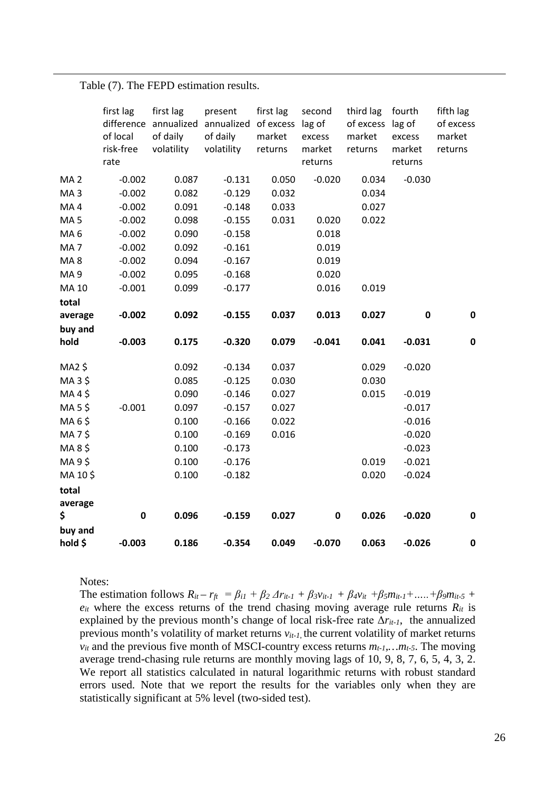Table (7). The FEPD estimation results.

1

|                  | first lag<br>difference<br>of local<br>risk-free<br>rate | first lag<br>annualized<br>of daily<br>volatility | present<br>annualized of excess lag of<br>of daily<br>volatility | first lag<br>market<br>returns | second<br>excess<br>market<br>returns | third lag<br>of excess lag of<br>market<br>returns | fourth<br>excess<br>market<br>returns | fifth lag<br>of excess<br>market<br>returns |
|------------------|----------------------------------------------------------|---------------------------------------------------|------------------------------------------------------------------|--------------------------------|---------------------------------------|----------------------------------------------------|---------------------------------------|---------------------------------------------|
| MA <sub>2</sub>  | $-0.002$                                                 | 0.087                                             | $-0.131$                                                         | 0.050                          | $-0.020$                              | 0.034                                              | $-0.030$                              |                                             |
| MA <sub>3</sub>  | $-0.002$                                                 | 0.082                                             | $-0.129$                                                         | 0.032                          |                                       | 0.034                                              |                                       |                                             |
| MA4              | $-0.002$                                                 | 0.091                                             | $-0.148$                                                         | 0.033                          |                                       | 0.027                                              |                                       |                                             |
| MA <sub>5</sub>  | $-0.002$                                                 | 0.098                                             | $-0.155$                                                         | 0.031                          | 0.020                                 | 0.022                                              |                                       |                                             |
| MA <sub>6</sub>  | $-0.002$                                                 | 0.090                                             | $-0.158$                                                         |                                | 0.018                                 |                                                    |                                       |                                             |
| MA <sub>7</sub>  | $-0.002$                                                 | 0.092                                             | $-0.161$                                                         |                                | 0.019                                 |                                                    |                                       |                                             |
| MA8              | $-0.002$                                                 | 0.094                                             | $-0.167$                                                         |                                | 0.019                                 |                                                    |                                       |                                             |
| MA <sub>9</sub>  | $-0.002$                                                 | 0.095                                             | $-0.168$                                                         |                                | 0.020                                 |                                                    |                                       |                                             |
| <b>MA 10</b>     | $-0.001$                                                 | 0.099                                             | $-0.177$                                                         |                                | 0.016                                 | 0.019                                              |                                       |                                             |
| total            |                                                          |                                                   |                                                                  |                                |                                       |                                                    |                                       |                                             |
| average          | $-0.002$                                                 | 0.092                                             | $-0.155$                                                         | 0.037                          | 0.013                                 | 0.027                                              | $\pmb{0}$                             | $\mathbf 0$                                 |
| buy and          |                                                          |                                                   |                                                                  |                                |                                       |                                                    |                                       |                                             |
| hold             | $-0.003$                                                 | 0.175                                             | $-0.320$                                                         | 0.079                          | $-0.041$                              | 0.041                                              | $-0.031$                              | $\mathbf 0$                                 |
|                  |                                                          |                                                   |                                                                  |                                |                                       |                                                    |                                       |                                             |
| MA2 \$           |                                                          | 0.092                                             | $-0.134$                                                         | 0.037                          |                                       | 0.029                                              | $-0.020$                              |                                             |
| MA3\$            |                                                          | 0.085                                             | $-0.125$                                                         | 0.030                          |                                       | 0.030                                              |                                       |                                             |
| MA4\$            |                                                          | 0.090                                             | $-0.146$                                                         | 0.027                          |                                       | 0.015                                              | $-0.019$                              |                                             |
| MA 5\$           | $-0.001$                                                 | 0.097                                             | $-0.157$                                                         | 0.027                          |                                       |                                                    | $-0.017$                              |                                             |
| MA 6\$<br>MA7\$  |                                                          | 0.100<br>0.100                                    | $-0.166$<br>$-0.169$                                             | 0.022<br>0.016                 |                                       |                                                    | $-0.016$<br>$-0.020$                  |                                             |
| MA8\$            |                                                          | 0.100                                             | $-0.173$                                                         |                                |                                       |                                                    | $-0.023$                              |                                             |
| MA 9\$           |                                                          | 0.100                                             | $-0.176$                                                         |                                |                                       | 0.019                                              | $-0.021$                              |                                             |
| MA 10\$          |                                                          | 0.100                                             | $-0.182$                                                         |                                |                                       | 0.020                                              | $-0.024$                              |                                             |
|                  |                                                          |                                                   |                                                                  |                                |                                       |                                                    |                                       |                                             |
| total<br>average |                                                          |                                                   |                                                                  |                                |                                       |                                                    |                                       |                                             |
| \$               | $\mathbf 0$                                              | 0.096                                             | $-0.159$                                                         | 0.027                          | $\mathbf 0$                           | 0.026                                              | $-0.020$                              | $\pmb{0}$                                   |
| buy and          |                                                          |                                                   |                                                                  |                                |                                       |                                                    |                                       |                                             |
| hold \$          | $-0.003$                                                 | 0.186                                             | $-0.354$                                                         | 0.049                          | $-0.070$                              | 0.063                                              | $-0.026$                              | $\pmb{0}$                                   |

Notes:

The estimation follows  $R_{it} - r_{ft} = \beta_{i1} + \beta_2 \Delta r_{it-1} + \beta_3 v_{it-1} + \beta_4 v_{it} + \beta_5 m_{it-1} + \dots + \beta_9 m_{it-5} + \dots$  $e_{it}$  where the excess returns of the trend chasing moving average rule returns  $R_{it}$  is explained by the previous month's change of local risk-free rate  $\Delta r_{it-1}$ , the annualized previous month's volatility of market returns *vit-1*, the current volatility of market returns  $v_{it}$  and the previous five month of MSCI-country excess returns  $m_{t-1},...,m_{t-5}$ . The moving average trend-chasing rule returns are monthly moving lags of 10, 9, 8, 7, 6, 5, 4, 3, 2. We report all statistics calculated in natural logarithmic returns with robust standard errors used. Note that we report the results for the variables only when they are statistically significant at 5% level (two-sided test).